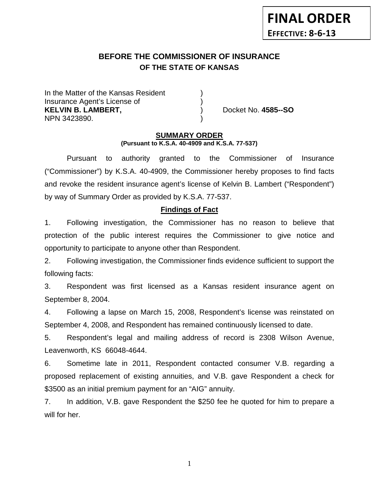# **BEFORE THE COMMISSIONER OF INSURANCE OF THE STATE OF KANSAS**

In the Matter of the Kansas Resident Insurance Agent's License of ) **KELVIN B. LAMBERT,** ) Docket No. **4585--SO** NPN 3423890. )

#### **SUMMARY ORDER (Pursuant to K.S.A. 40-4909 and K.S.A. 77-537)**

Pursuant to authority granted to the Commissioner of Insurance ("Commissioner") by K.S.A. 40-4909, the Commissioner hereby proposes to find facts and revoke the resident insurance agent's license of Kelvin B. Lambert ("Respondent") by way of Summary Order as provided by K.S.A. 77-537.

### **Findings of Fact**

1. Following investigation, the Commissioner has no reason to believe that protection of the public interest requires the Commissioner to give notice and opportunity to participate to anyone other than Respondent.

2. Following investigation, the Commissioner finds evidence sufficient to support the following facts:

3. Respondent was first licensed as a Kansas resident insurance agent on September 8, 2004.

4. Following a lapse on March 15, 2008, Respondent's license was reinstated on September 4, 2008, and Respondent has remained continuously licensed to date.

5. Respondent's legal and mailing address of record is 2308 Wilson Avenue, Leavenworth, KS 66048-4644.

6. Sometime late in 2011, Respondent contacted consumer V.B. regarding a proposed replacement of existing annuities, and V.B. gave Respondent a check for \$3500 as an initial premium payment for an "AIG" annuity.

7. In addition, V.B. gave Respondent the \$250 fee he quoted for him to prepare a will for her.

1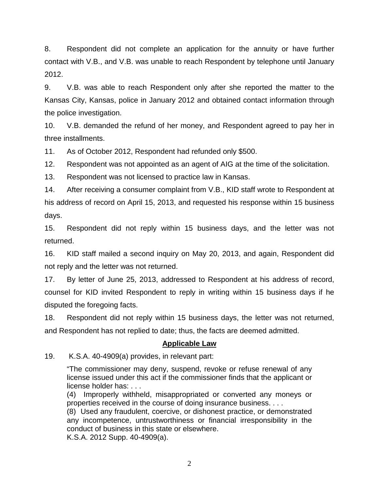8. Respondent did not complete an application for the annuity or have further contact with V.B., and V.B. was unable to reach Respondent by telephone until January 2012.

9. V.B. was able to reach Respondent only after she reported the matter to the Kansas City, Kansas, police in January 2012 and obtained contact information through the police investigation.

10. V.B. demanded the refund of her money, and Respondent agreed to pay her in three installments.

11. As of October 2012, Respondent had refunded only \$500.

12. Respondent was not appointed as an agent of AIG at the time of the solicitation.

13. Respondent was not licensed to practice law in Kansas.

14. After receiving a consumer complaint from V.B., KID staff wrote to Respondent at his address of record on April 15, 2013, and requested his response within 15 business days.

15. Respondent did not reply within 15 business days, and the letter was not returned.

16. KID staff mailed a second inquiry on May 20, 2013, and again, Respondent did not reply and the letter was not returned.

17. By letter of June 25, 2013, addressed to Respondent at his address of record, counsel for KID invited Respondent to reply in writing within 15 business days if he disputed the foregoing facts.

18. Respondent did not reply within 15 business days, the letter was not returned, and Respondent has not replied to date; thus, the facts are deemed admitted.

## **Applicable Law**

19. K.S.A. 40-4909(a) provides, in relevant part:

"The commissioner may deny, suspend, revoke or refuse renewal of any license issued under this act if the commissioner finds that the applicant or license holder has: . . .

(4) Improperly withheld, misappropriated or converted any moneys or properties received in the course of doing insurance business. . . .

(8) Used any fraudulent, coercive, or dishonest practice, or demonstrated any incompetence, untrustworthiness or financial irresponsibility in the conduct of business in this state or elsewhere.

K.S.A. 2012 Supp. 40-4909(a).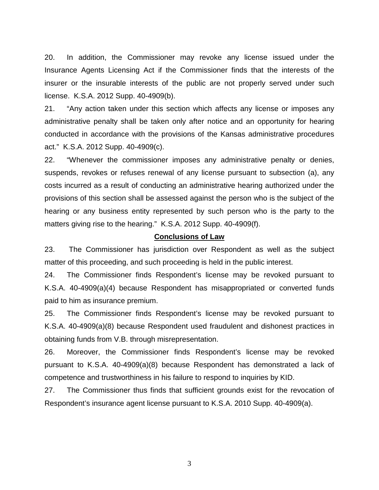20. In addition, the Commissioner may revoke any license issued under the Insurance Agents Licensing Act if the Commissioner finds that the interests of the insurer or the insurable interests of the public are not properly served under such license. K.S.A. 2012 Supp. 40-4909(b).

21. "Any action taken under this section which affects any license or imposes any administrative penalty shall be taken only after notice and an opportunity for hearing conducted in accordance with the provisions of the Kansas administrative procedures act." K.S.A. 2012 Supp. 40-4909(c).

22. "Whenever the commissioner imposes any administrative penalty or denies, suspends, revokes or refuses renewal of any license pursuant to subsection (a), any costs incurred as a result of conducting an administrative hearing authorized under the provisions of this section shall be assessed against the person who is the subject of the hearing or any business entity represented by such person who is the party to the matters giving rise to the hearing." K.S.A. 2012 Supp. 40-4909(f).

#### **Conclusions of Law**

23. The Commissioner has jurisdiction over Respondent as well as the subject matter of this proceeding, and such proceeding is held in the public interest.

24. The Commissioner finds Respondent's license may be revoked pursuant to K.S.A. 40-4909(a)(4) because Respondent has misappropriated or converted funds paid to him as insurance premium.

25. The Commissioner finds Respondent's license may be revoked pursuant to K.S.A. 40-4909(a)(8) because Respondent used fraudulent and dishonest practices in obtaining funds from V.B. through misrepresentation.

26. Moreover, the Commissioner finds Respondent's license may be revoked pursuant to K.S.A. 40-4909(a)(8) because Respondent has demonstrated a lack of competence and trustworthiness in his failure to respond to inquiries by KID.

27. The Commissioner thus finds that sufficient grounds exist for the revocation of Respondent's insurance agent license pursuant to K.S.A. 2010 Supp. 40-4909(a).

3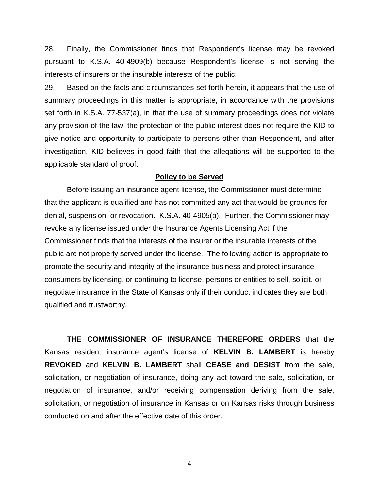28. Finally, the Commissioner finds that Respondent's license may be revoked pursuant to K.S.A. 40-4909(b) because Respondent's license is not serving the interests of insurers or the insurable interests of the public.

29. Based on the facts and circumstances set forth herein, it appears that the use of summary proceedings in this matter is appropriate, in accordance with the provisions set forth in K.S.A. 77-537(a), in that the use of summary proceedings does not violate any provision of the law, the protection of the public interest does not require the KID to give notice and opportunity to participate to persons other than Respondent, and after investigation, KID believes in good faith that the allegations will be supported to the applicable standard of proof.

#### **Policy to be Served**

Before issuing an insurance agent license, the Commissioner must determine that the applicant is qualified and has not committed any act that would be grounds for denial, suspension, or revocation. K.S.A. 40-4905(b). Further, the Commissioner may revoke any license issued under the Insurance Agents Licensing Act if the Commissioner finds that the interests of the insurer or the insurable interests of the public are not properly served under the license. The following action is appropriate to promote the security and integrity of the insurance business and protect insurance consumers by licensing, or continuing to license, persons or entities to sell, solicit, or negotiate insurance in the State of Kansas only if their conduct indicates they are both qualified and trustworthy.

**THE COMMISSIONER OF INSURANCE THEREFORE ORDERS** that the Kansas resident insurance agent's license of **KELVIN B. LAMBERT** is hereby **REVOKED** and **KELVIN B. LAMBERT** shall **CEASE and DESIST** from the sale, solicitation, or negotiation of insurance, doing any act toward the sale, solicitation, or negotiation of insurance, and/or receiving compensation deriving from the sale, solicitation, or negotiation of insurance in Kansas or on Kansas risks through business conducted on and after the effective date of this order.

4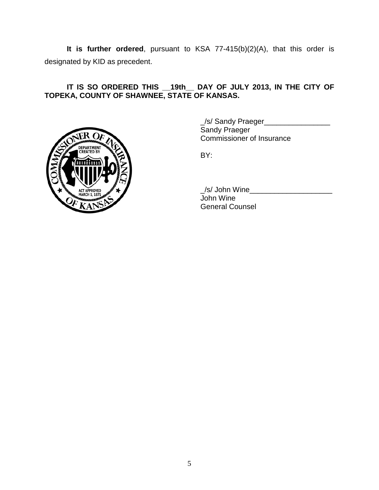**It is further ordered**, pursuant to KSA 77-415(b)(2)(A), that this order is designated by KID as precedent.

## **IT IS SO ORDERED THIS \_\_19th\_\_ DAY OF JULY 2013, IN THE CITY OF TOPEKA, COUNTY OF SHAWNEE, STATE OF KANSAS.**



\_/s/ Sandy Praeger\_\_\_\_\_\_\_\_\_\_\_\_\_\_\_\_ Sandy Praeger Commissioner of Insurance

BY:

\_/s/ John Wine\_\_\_\_\_\_\_\_\_\_\_\_\_\_\_\_\_\_\_\_ John Wine General Counsel